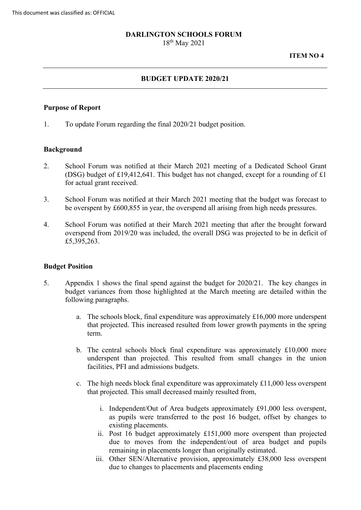#### **DARLINGTON SCHOOLS FORUM**

18th May 2021

#### **ITEM NO 4**

## **BUDGET UPDATE 2020/21**

#### **Purpose of Report**

1. To update Forum regarding the final 2020/21 budget position.

## **Background**

- 2. School Forum was notified at their March 2021 meeting of a Dedicated School Grant (DSG) budget of £19,412,641. This budget has not changed, except for a rounding of £1 for actual grant received.
- be overspent by £600,855 in year, the overspend all arising from high needs pressures. 3. School Forum was notified at their March 2021 meeting that the budget was forecast to
- 4. School Forum was notified at their March 2021 meeting that after the brought forward overspend from 2019/20 was included, the overall DSG was projected to be in deficit of £5,395,263.

## **Budget Position**

- 5. Appendix 1 shows the final spend against the budget for 2020/21. The key changes in budget variances from those highlighted at the March meeting are detailed within the following paragraphs.
	- a. The schools block, final expenditure was approximately £16,000 more underspent that projected. This increased resulted from lower growth payments in the spring term.
	- b. The central schools block final expenditure was approximately £10,000 more facilities, PFI and admissions budgets. underspent than projected. This resulted from small changes in the union
	- c. The high needs block final expenditure was approximately £11,000 less overspent that projected. This small decreased mainly resulted from,
		- existing placements. i. Independent/Out of Area budgets approximately £91,000 less overspent, as pupils were transferred to the post 16 budget, offset by changes to
		- due to moves from the independent/out of area budget and pupils ii. Post 16 budget approximately £151,000 more overspent than projected remaining in placements longer than originally estimated.
		- iii. Other SEN/Alternative provision, approximately £38,000 less overspent due to changes to placements and placements ending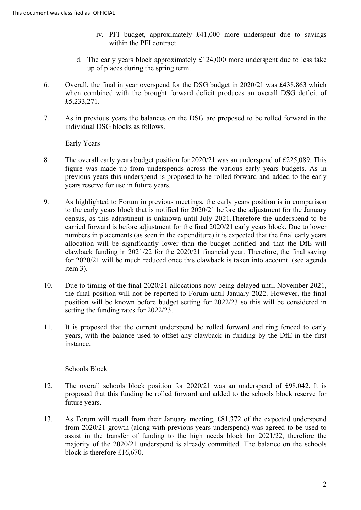- iv. PFI budget, approximately £41,000 more underspent due to savings within the PFI contract.
- d. The early years block approximately £124,000 more underspent due to less take up of places during the spring term.
- 6. Overall, the final in year overspend for the DSG budget in 2020/21 was £438,863 which when combined with the brought forward deficit produces an overall DSG deficit of £5,233,271.
- 7. As in previous years the balances on the DSG are proposed to be rolled forward in the individual DSG blocks as follows.

Early Years

- The overall early years budget position for 2020/21 was an underspend of £225,089. This 8. figure was made up from underspends across the various early years budgets. As in previous years this underspend is proposed to be rolled forward and added to the early years reserve for use in future years.
- clawback funding in 2021/22 for the 2020/21 financial year. Therefore, the final saving 9. As highlighted to Forum in previous meetings, the early years position is in comparison to the early years block that is notified for 2020/21 before the adjustment for the January census, as this adjustment is unknown until July 2021.Therefore the underspend to be carried forward is before adjustment for the final 2020/21 early years block. Due to lower numbers in placements (as seen in the expenditure) it is expected that the final early years allocation will be significantly lower than the budget notified and that the DfE will for 2020/21 will be much reduced once this clawback is taken into account. (see agenda item 3).
- 10. Due to timing of the final 2020/21 allocations now being delayed until November 2021, the final position will not be reported to Forum until January 2022. However, the final position will be known before budget setting for 2022/23 so this will be considered in setting the funding rates for 2022/23.
- It is proposed that the current underspend be rolled forward and ring fenced to early 11. years, with the balance used to offset any clawback in funding by the DfE in the first instance.

## Schools Block

- 12. The overall schools block position for 2020/21 was an underspend of £98,042. It is proposed that this funding be rolled forward and added to the schools block reserve for future years.
- assist in the transfer of funding to the high needs block for 2021/22, therefore the 13. As Forum will recall from their January meeting, £81,372 of the expected underspend from 2020/21 growth (along with previous years underspend) was agreed to be used to majority of the 2020/21 underspend is already committed. The balance on the schools block is therefore £16,670.